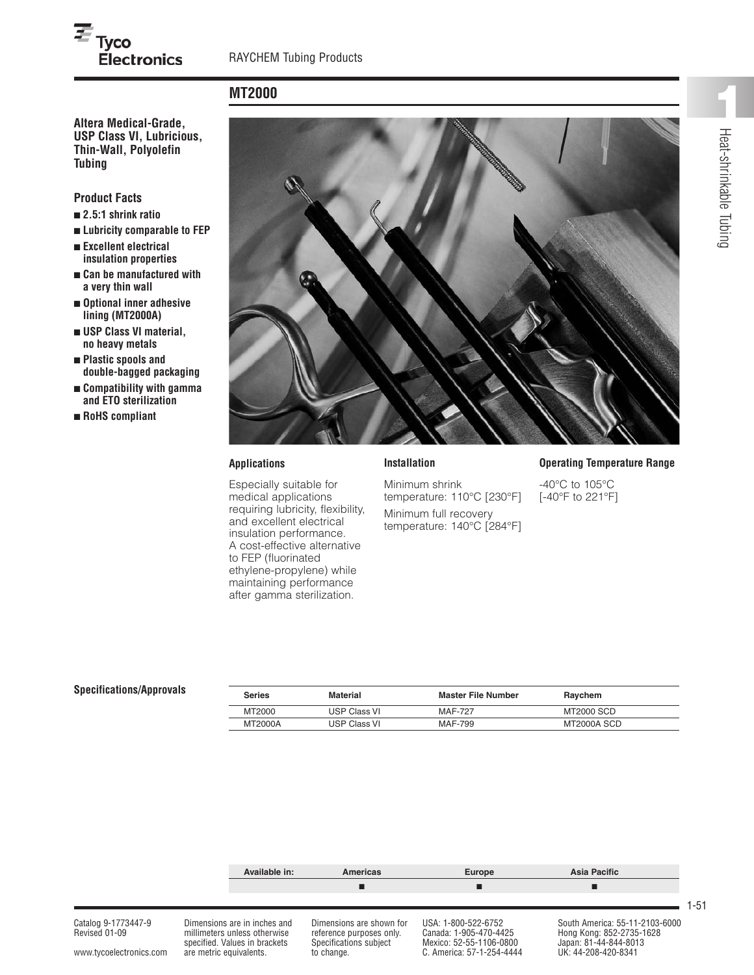# **MT2000**

**USP Class VI, Lubricious, Thin-Wall, Polyolefin Tubing**

**Electronics** 

## **Product Facts**

 $\overline{\equiv}$  Tyco

- **■ 2.5:1 shrink ratio**
- **■ Lubricity comparable to FEP**
- **■ Excellent electrical insulation properties**
- **■ Can be manufactured with a very thin wall**
- **■ Optional inner adhesive lining (MT2000A)**
- **■ USP Class VI material, no heavy metals**
- **■ Plastic spools and double-bagged packaging**
- **■ Compatibility with gamma and ETO sterilization**
- **■ RoHS compliant**



#### **Applications**

Especially suitable for medical applications requiring lubricity, flexibility, and excellent electrical insulation performance. A cost-effective alternative to FEP (fluorinated ethylene-propylene) while maintaining performance after gamma sterilization.

### **Operating Temperature Range**

-40°C to 105°C [-40°F to 221°F]

| <b>Series</b> | Material            | Master File Number | Raychem     |
|---------------|---------------------|--------------------|-------------|
| MT2000        | <b>USP Class VI</b> | <b>MAF-727</b>     | MT2000 SCD  |
| MT2000A       | <b>USP Class VI</b> | MAF-799            | MT2000A SCD |

Minimum shrink

temperature: 110°C [230°F] Minimum full recovery temperature: 140°C [284°F]



 $S$ pecifications/Approvals

1-51